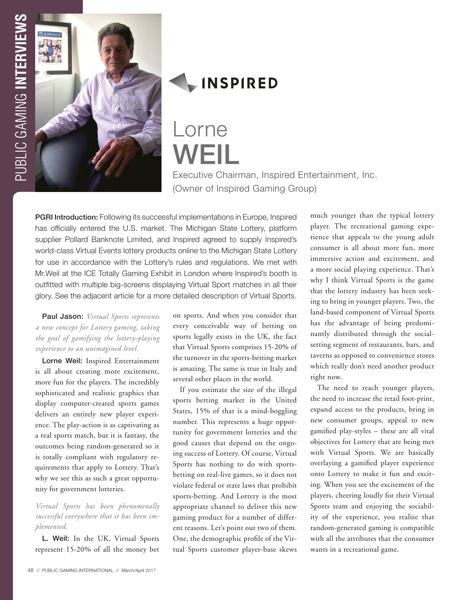



## **INSPIRED**

# Lorne WEII

Executive Chairman, Inspired Entertainment, Inc. (Owner of Inspired Gaming Group)

PGRI Introduction: Following its successful implementations in Europe, Inspired has officially entered the U.S. market. The Michigan State Lottery, platform supplier Pollard Banknote Limited, and Inspired agreed to supply Inspired's world-class Virtual Events lottery products online to the Michigan State Lottery for use in accordance with the Lottery's rules and regulations. We met with Mr.Weil at the ICE Totally Gaming Exhibit in London where Inspired's booth is outfitted with multiple big-screens displaying Virtual Sport matches in all their glory. See the adjacent article for a more detailed description of Virtual Sports.

Paul Jason: *Virtual Sports represents a new concept for Lottery gaming, taking the goal of gamifying the lottery-playing experience to an unimagined level.* 

Lorne Weil: Inspired Entertainment is all about creating more excitement, more fun for the players. The incredibly sophisticated and realistic graphics that display computer-created sports games delivers an entirely new player experience. The play-action is as captivating as a real sports match, but it is fantasy, the outcomes being random-generated so it is totally compliant with regulatory requirements that apply to Lottery. That's why we see this as such a great opportunity for government lotteries.

### *Virtual Sports has been phenomenally successful everywhere that it has been implemented.*

L. Weil: In the UK, Virtual Sports represent 15-20% of all the money bet

on sports. And when you consider that every conceivable way of betting on sports legally exists in the UK, the fact that Virtual Sports comprises 15-20% of the turnover in the sports-betting market is amazing. The same is true in Italy and several other places in the world.

If you estimate the size of the illegal sports betting market in the United States, 15% of that is a mind-boggling number. This represents a huge opportunity for government lotteries and the good causes that depend on the ongoing success of Lottery. Of course, Virtual Sports has nothing to do with sportsbetting on real-live games, so it does not violate federal or state laws that prohibit sports-betting. And Lottery is the most appropriate channel to deliver this new gaming product for a number of different reasons. Let's point out two of them. One, the demographic profile of the Virtual Sports customer player-base skews

much younger than the typical lottery player. The recreational gaming experience that appeals to the young adult consumer is all about more fun, more immersive action and excitement, and a more social playing experience. That's why I think Virtual Sports is the game that the lottery industry has been seeking to bring in younger players. Two, the land-based component of Virtual Sports has the advantage of being predominantly distributed through the socialsetting segment of restaurants, bars, and taverns as opposed to convenience stores which really don't need another product right now.

The need to reach younger players, the need to increase the retail foot-print, expand access to the products, bring in new consumer groups, appeal to new gamified play-styles – these are all vital objectives for Lottery that are being met with Virtual Sports. We are basically overlaying a gamified player experience onto Lottery to make it fun and exciting. When you see the excitement of the players, cheering loudly for their Virtual Sports team and enjoying the sociability of the experience, you realize that random-generated gaming is compatible with all the attributes that the consumer wants in a recreational game.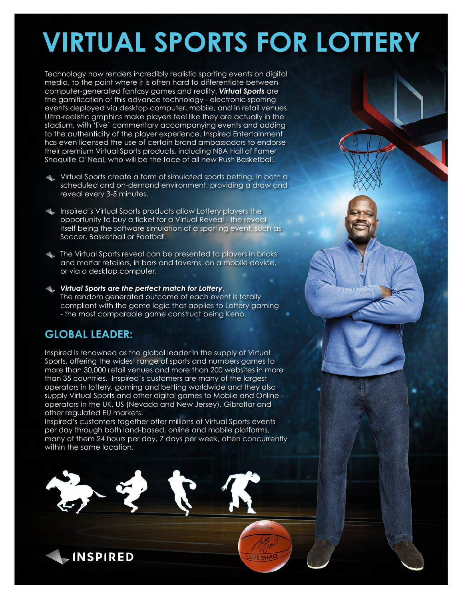# **VIRTUAL SPORTS FOR LOTTERY**

Technology now renders incredibly realistic sporting events on digital media, to the point where it is often hard to differentiate between computer-generated fantasy games and reality. *Virtual Sports* are the gamification of this advance technology - electronic sporting events deployed via desktop computer, mobile, and in retail venues. Ultra-realistic graphics make players feel like they are actually in the stadium, with 'live' commentary accompanying events and adding to the authenticity of the player experience. Inspired Entertainment has even licensed the use of certain brand ambassadors to endorse their premium Virtual Sports products, including NBA Hall of Famer Shaquille O'Neal, who will be the face of all new Rush Basketball.

- Virtual Sports create a form of simulated sports betting, in both a scheduled and on-demand environment, providing a draw and reveal every 3-5 minutes.
- Inspired's Virtual Sports products allow Lottery players the opportunity to buy a ticket for a Virtual Reveal - the reveal itself being the software simulation of a sporting event, such as Soccer, Basketball or Football.
- The Virtual Sports reveal can be presented to players in bricks and mortar retailers, in bars and taverns, on a mobile device, or via a desktop computer.
- *Virtual Sports are the perfect match for Lottery*. The random generated outcome of each event is totally compliant with the game logic that applies to Lottery gaming - the most comparable game construct being Keno.

## **GLOBAL LEADER:**

**INSPIRED** 

Inspired is renowned as the global leader in the supply of Virtual Sports, offering the widest range of sports and numbers games to more than 30,000 retail venues and more than 200 websites in more than 35 countries. Inspired's customers are many of the largest operators in lottery, gaming and betting worldwide and they also supply Virtual Sports and other digital games to Mobile and Online operators in the UK, US (Nevada and New Jersey), Gibraltar and other regulated EU markets.

Inspired's customers together offer millions of Virtual Sports events per day through both land-based, online and mobile platforms, many of them 24 hours per day, 7 days per week, often concurrently within the same location.